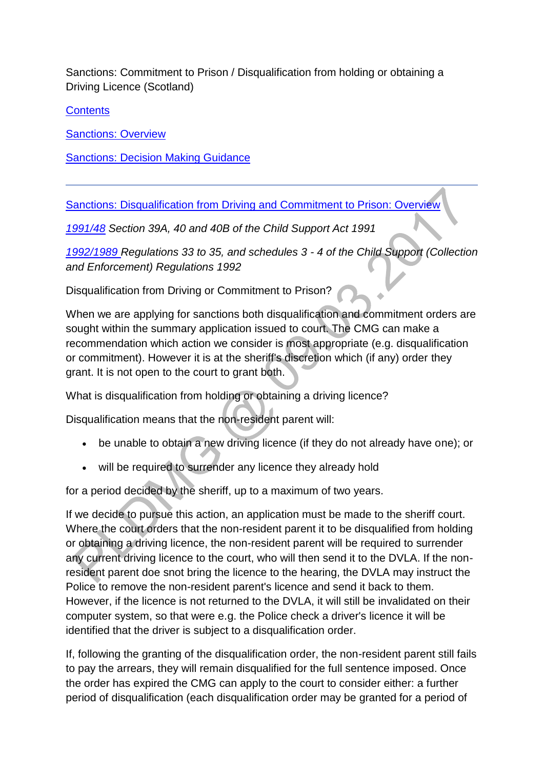Sanctions: Commitment to Prison / Disqualification from holding or obtaining a Driving Licence (Scotland)

**[Contents](http://np-cmg-sharepoint.link2.gpn.gov.uk/sites/policy-law-and-decision-making-guidance/Pages/Legal%20Enforcement%20-%20Scotland/Sanctions-Scotland.aspx)** 

**[Sanctions: Overview](http://np-cmg-sharepoint.link2.gpn.gov.uk/sites/policy-law-and-decision-making-guidance/Pages/Legal%20Enforcement%20-%20Scotland/Sanctions-Scotland.aspx#sanctionsoverview)** 

[Sanctions: Decision Making Guidance](http://np-cmg-sharepoint.link2.gpn.gov.uk/sites/policy-law-and-decision-making-guidance/Pages/Legal%20Enforcement%20-%20Scotland/Sanctions-Scotland.aspx#sanctionsdmg)

[Sanctions: Disqualification from Driving and Commitment to Prison: Overview](http://np-cmg-sharepoint.link2.gpn.gov.uk/sites/policy-law-and-decision-making-guidance/Pages/Legal%20Enforcement%20-%20Scotland/Sanctions-Scotland.aspx)

*[1991/48](http://www.legislation.gov.uk/ukpga/1991/48) Section 39A, 40 and 40B of the Child Support Act 1991*

*[1992/1989 R](http://www.legislation.gov.uk/uksi/1992/1989)egulations 33 to 35, and schedules 3 - 4 of the Child Support (Collection and Enforcement) Regulations 1992*

Disqualification from Driving or Commitment to Prison?

When we are applying for sanctions both disqualification and commitment orders are sought within the summary application issued to court. The CMG can make a recommendation which action we consider is most appropriate (e.g. disqualification or commitment). However it is at the sheriff's discretion which (if any) order they grant. It is not open to the court to grant both.

What is disqualification from holding or obtaining a driving licence?

Disqualification means that the non-resident parent will:

- be unable to obtain a new driving licence (if they do not already have one); or
- will be required to surrender any licence they already hold

for a period decided by the sheriff, up to a maximum of two years.

If we decide to pursue this action, an application must be made to the sheriff court. Where the court orders that the non-resident parent it to be disqualified from holding or obtaining a driving licence, the non-resident parent will be required to surrender any current driving licence to the court, who will then send it to the DVLA. If the nonresident parent doe snot bring the licence to the hearing, the DVLA may instruct the Police to remove the non-resident parent's licence and send it back to them. However, if the licence is not returned to the DVLA, it will still be invalidated on their computer system, so that were e.g. the Police check a driver's licence it will be identified that the driver is subject to a disqualification order.

If, following the granting of the disqualification order, the non-resident parent still fails to pay the arrears, they will remain disqualified for the full sentence imposed. Once the order has expired the CMG can apply to the court to consider either: a further period of disqualification (each disqualification order may be granted for a period of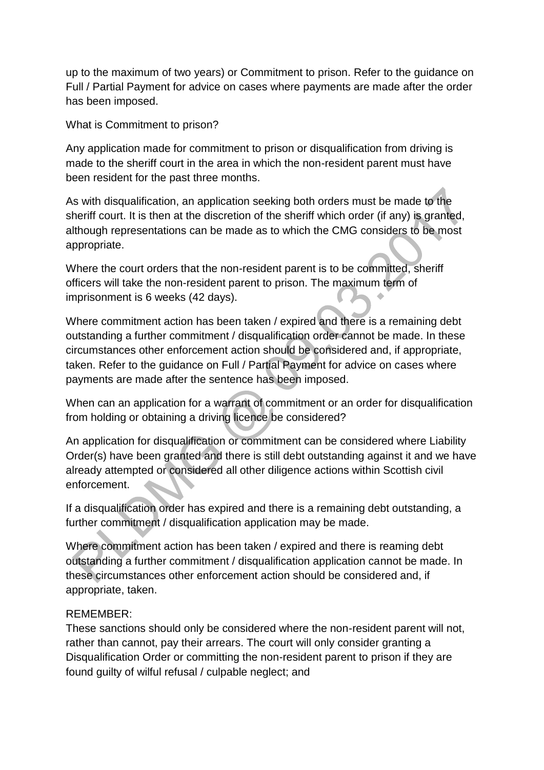up to the maximum of two years) or Commitment to prison. Refer to the guidance on Full / Partial Payment for advice on cases where payments are made after the order has been imposed.

What is Commitment to prison?

Any application made for commitment to prison or disqualification from driving is made to the sheriff court in the area in which the non-resident parent must have been resident for the past three months.

As with disqualification, an application seeking both orders must be made to the sheriff court. It is then at the discretion of the sheriff which order (if any) is granted, although representations can be made as to which the CMG considers to be most appropriate.

Where the court orders that the non-resident parent is to be committed, sheriff officers will take the non-resident parent to prison. The maximum term of imprisonment is 6 weeks (42 days).

Where commitment action has been taken / expired and there is a remaining debt outstanding a further commitment / disqualification order cannot be made. In these circumstances other enforcement action should be considered and, if appropriate, taken. Refer to the guidance on Full / Partial Payment for advice on cases where payments are made after the sentence has been imposed.

When can an application for a warrant of commitment or an order for disqualification from holding or obtaining a driving licence be considered?

An application for disqualification or commitment can be considered where Liability Order(s) have been granted and there is still debt outstanding against it and we have already attempted or considered all other diligence actions within Scottish civil enforcement.

If a disqualification order has expired and there is a remaining debt outstanding, a further commitment / disqualification application may be made.

Where commitment action has been taken / expired and there is reaming debt outstanding a further commitment / disqualification application cannot be made. In these circumstances other enforcement action should be considered and, if appropriate, taken.

#### REMEMBER:

These sanctions should only be considered where the non-resident parent will not, rather than cannot, pay their arrears. The court will only consider granting a Disqualification Order or committing the non-resident parent to prison if they are found guilty of wilful refusal / culpable neglect; and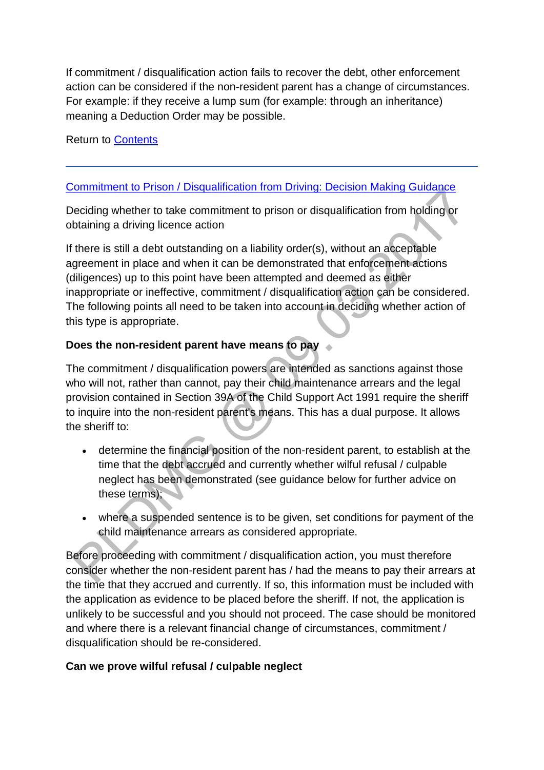If commitment / disqualification action fails to recover the debt, other enforcement action can be considered if the non-resident parent has a change of circumstances. For example: if they receive a lump sum (for example: through an inheritance) meaning a Deduction Order may be possible.

Return to [Contents](http://np-cmg-sharepoint.link2.gpn.gov.uk/sites/policy-law-and-decision-making-guidance/Pages/Legal%20Enforcement%20-%20Scotland/Sanctions-Scotland.aspx#contents)

# [Commitment to Prison / Disqualification from Driving: Decision Making Guidance](http://np-cmg-sharepoint.link2.gpn.gov.uk/sites/policy-law-and-decision-making-guidance/Pages/Legal%20Enforcement%20-%20Scotland/Sanctions-Scotland.aspx#sanctionsdmg)

Deciding whether to take commitment to prison or disqualification from holding or obtaining a driving licence action

If there is still a debt outstanding on a liability order(s), without an acceptable agreement in place and when it can be demonstrated that enforcement actions (diligences) up to this point have been attempted and deemed as either inappropriate or ineffective, commitment / disqualification action can be considered. The following points all need to be taken into account in deciding whether action of this type is appropriate.

## **Does the non-resident parent have means to pay**

The commitment / disqualification powers are intended as sanctions against those who will not, rather than cannot, pay their child maintenance arrears and the legal provision contained in Section 39A of the Child Support Act 1991 require the sheriff to inquire into the non-resident parent's means. This has a dual purpose. It allows the sheriff to:

- determine the financial position of the non-resident parent, to establish at the time that the debt accrued and currently whether wilful refusal / culpable neglect has been demonstrated (see guidance below for further advice on these terms);
- where a suspended sentence is to be given, set conditions for payment of the child maintenance arrears as considered appropriate.

Before proceeding with commitment / disqualification action, you must therefore consider whether the non-resident parent has / had the means to pay their arrears at the time that they accrued and currently. If so, this information must be included with the application as evidence to be placed before the sheriff. If not, the application is unlikely to be successful and you should not proceed. The case should be monitored and where there is a relevant financial change of circumstances, commitment / disqualification should be re-considered.

# **Can we prove wilful refusal / culpable neglect**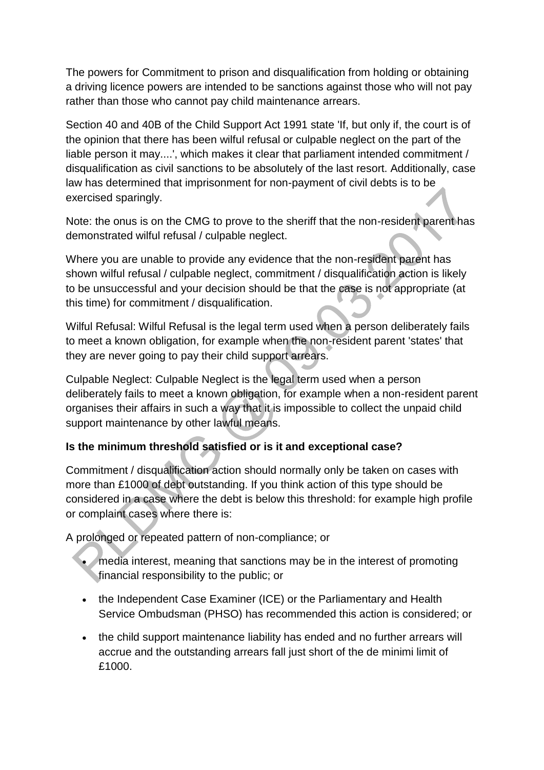The powers for Commitment to prison and disqualification from holding or obtaining a driving licence powers are intended to be sanctions against those who will not pay rather than those who cannot pay child maintenance arrears.

Section 40 and 40B of the Child Support Act 1991 state 'If, but only if, the court is of the opinion that there has been wilful refusal or culpable neglect on the part of the liable person it may....', which makes it clear that parliament intended commitment / disqualification as civil sanctions to be absolutely of the last resort. Additionally, case law has determined that imprisonment for non-payment of civil debts is to be exercised sparingly.

Note: the onus is on the CMG to prove to the sheriff that the non-resident parent has demonstrated wilful refusal / culpable neglect.

Where you are unable to provide any evidence that the non-resident parent has shown wilful refusal / culpable neglect, commitment / disqualification action is likely to be unsuccessful and your decision should be that the case is not appropriate (at this time) for commitment / disqualification.

Wilful Refusal: Wilful Refusal is the legal term used when a person deliberately fails to meet a known obligation, for example when the non-resident parent 'states' that they are never going to pay their child support arrears.

Culpable Neglect: Culpable Neglect is the legal term used when a person deliberately fails to meet a known obligation, for example when a non-resident parent organises their affairs in such a way that it is impossible to collect the unpaid child support maintenance by other lawful means.

# **Is the minimum threshold satisfied or is it and exceptional case?**

Commitment / disqualification action should normally only be taken on cases with more than £1000 of debt outstanding. If you think action of this type should be considered in a case where the debt is below this threshold: for example high profile or complaint cases where there is:

A prolonged or repeated pattern of non-compliance; or

- media interest, meaning that sanctions may be in the interest of promoting financial responsibility to the public; or
- the Independent Case Examiner (ICE) or the Parliamentary and Health Service Ombudsman (PHSO) has recommended this action is considered; or
- the child support maintenance liability has ended and no further arrears will accrue and the outstanding arrears fall just short of the de minimi limit of £1000.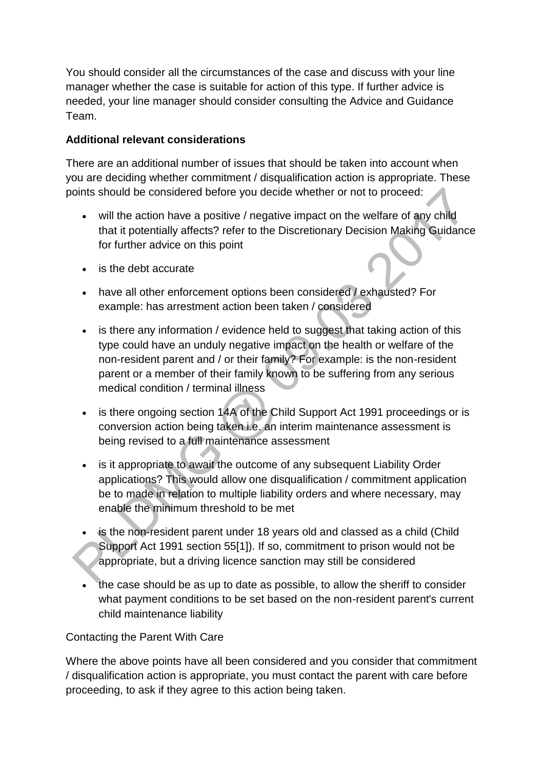You should consider all the circumstances of the case and discuss with your line manager whether the case is suitable for action of this type. If further advice is needed, your line manager should consider consulting the Advice and Guidance Team.

## **Additional relevant considerations**

There are an additional number of issues that should be taken into account when you are deciding whether commitment / disqualification action is appropriate. These points should be considered before you decide whether or not to proceed:

- will the action have a positive / negative impact on the welfare of any child that it potentially affects? refer to the Discretionary Decision Making Guidance for further advice on this point
- is the debt accurate
- have all other enforcement options been considered / exhausted? For example: has arrestment action been taken / considered
- is there any information / evidence held to suggest that taking action of this type could have an unduly negative impact on the health or welfare of the non-resident parent and / or their family? For example: is the non-resident parent or a member of their family known to be suffering from any serious medical condition / terminal illness
- is there ongoing section 14A of the Child Support Act 1991 proceedings or is conversion action being taken i.e. an interim maintenance assessment is being revised to a full maintenance assessment
- is it appropriate to await the outcome of any subsequent Liability Order applications? This would allow one disqualification / commitment application be to made in relation to multiple liability orders and where necessary, may enable the minimum threshold to be met
- is the non-resident parent under 18 years old and classed as a child (Child Support Act 1991 section 55[1]). If so, commitment to prison would not be appropriate, but a driving licence sanction may still be considered
- the case should be as up to date as possible, to allow the sheriff to consider what payment conditions to be set based on the non-resident parent's current child maintenance liability

# Contacting the Parent With Care

Where the above points have all been considered and you consider that commitment / disqualification action is appropriate, you must contact the parent with care before proceeding, to ask if they agree to this action being taken.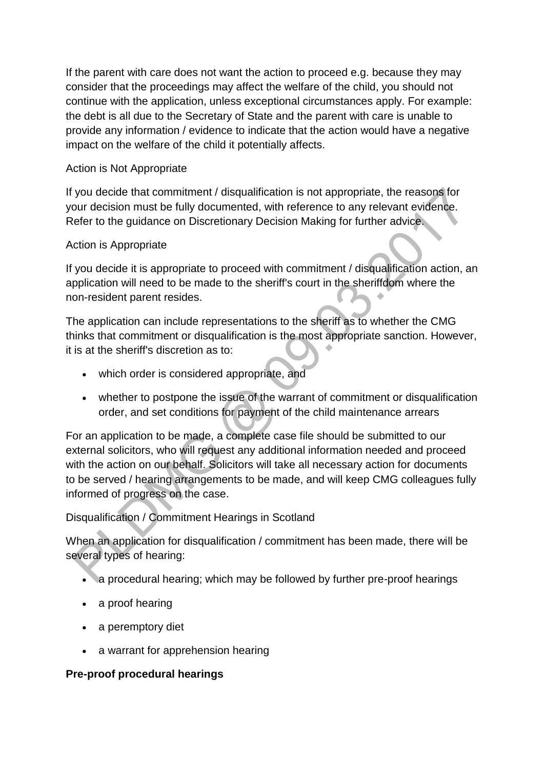If the parent with care does not want the action to proceed e.g. because they may consider that the proceedings may affect the welfare of the child, you should not continue with the application, unless exceptional circumstances apply. For example: the debt is all due to the Secretary of State and the parent with care is unable to provide any information / evidence to indicate that the action would have a negative impact on the welfare of the child it potentially affects.

## Action is Not Appropriate

If you decide that commitment / disqualification is not appropriate, the reasons for your decision must be fully documented, with reference to any relevant evidence. Refer to the guidance on Discretionary Decision Making for further advice.

## Action is Appropriate

If you decide it is appropriate to proceed with commitment / disqualification action, an application will need to be made to the sheriff's court in the sheriffdom where the non-resident parent resides.

The application can include representations to the sheriff as to whether the CMG thinks that commitment or disqualification is the most appropriate sanction. However, it is at the sheriff's discretion as to:

- which order is considered appropriate, and
- whether to postpone the issue of the warrant of commitment or disqualification order, and set conditions for payment of the child maintenance arrears

For an application to be made, a complete case file should be submitted to our external solicitors, who will request any additional information needed and proceed with the action on our behalf. Solicitors will take all necessary action for documents to be served / hearing arrangements to be made, and will keep CMG colleagues fully informed of progress on the case.

# Disqualification / Commitment Hearings in Scotland

When an application for disqualification / commitment has been made, there will be several types of hearing:

- a procedural hearing; which may be followed by further pre-proof hearings
- a proof hearing
- a peremptory diet
- a warrant for apprehension hearing

#### **Pre-proof procedural hearings**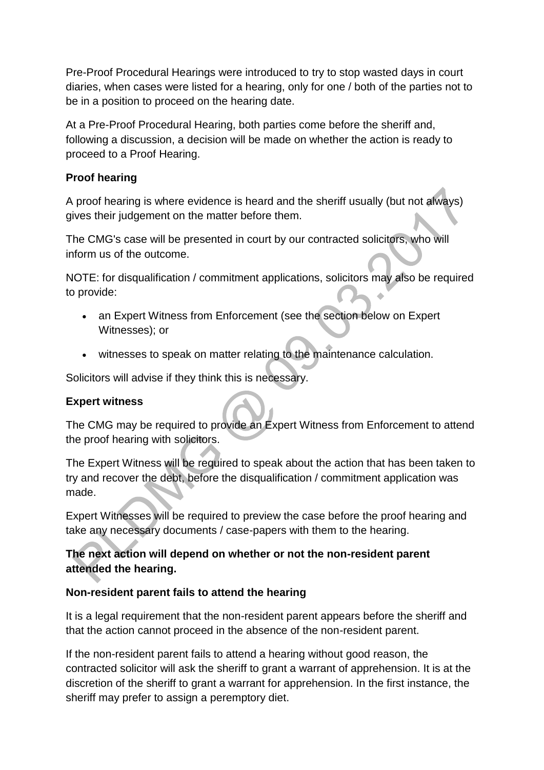Pre-Proof Procedural Hearings were introduced to try to stop wasted days in court diaries, when cases were listed for a hearing, only for one / both of the parties not to be in a position to proceed on the hearing date.

At a Pre-Proof Procedural Hearing, both parties come before the sheriff and, following a discussion, a decision will be made on whether the action is ready to proceed to a Proof Hearing.

#### **Proof hearing**

A proof hearing is where evidence is heard and the sheriff usually (but not always) gives their judgement on the matter before them.

The CMG's case will be presented in court by our contracted solicitors, who will inform us of the outcome.

NOTE: for disqualification / commitment applications, solicitors may also be required to provide:

- an Expert Witness from Enforcement (see the section below on Expert Witnesses); or
- witnesses to speak on matter relating to the maintenance calculation.

Solicitors will advise if they think this is necessary.

#### **Expert witness**

The CMG may be required to provide an Expert Witness from Enforcement to attend the proof hearing with solicitors.

The Expert Witness will be required to speak about the action that has been taken to try and recover the debt, before the disqualification / commitment application was made.

Expert Witnesses will be required to preview the case before the proof hearing and take any necessary documents / case-papers with them to the hearing.

# **The next action will depend on whether or not the non-resident parent attended the hearing.**

#### **Non-resident parent fails to attend the hearing**

It is a legal requirement that the non-resident parent appears before the sheriff and that the action cannot proceed in the absence of the non-resident parent.

If the non-resident parent fails to attend a hearing without good reason, the contracted solicitor will ask the sheriff to grant a warrant of apprehension. It is at the discretion of the sheriff to grant a warrant for apprehension. In the first instance, the sheriff may prefer to assign a peremptory diet.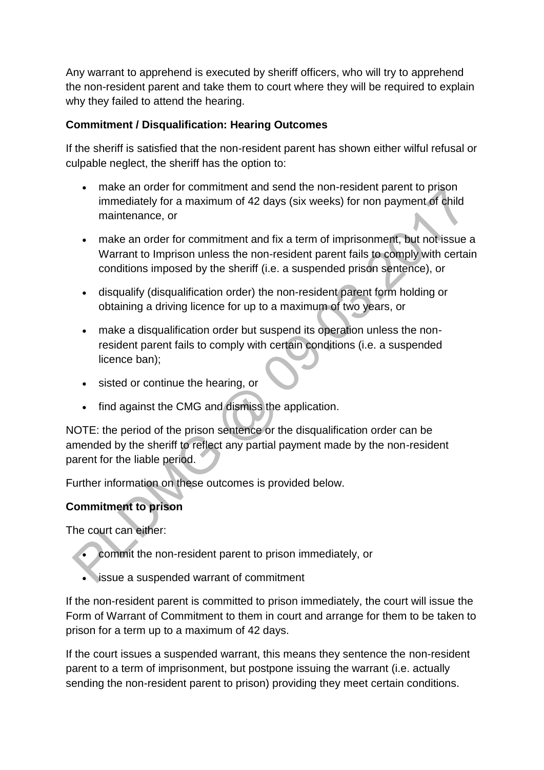Any warrant to apprehend is executed by sheriff officers, who will try to apprehend the non-resident parent and take them to court where they will be required to explain why they failed to attend the hearing.

## **Commitment / Disqualification: Hearing Outcomes**

If the sheriff is satisfied that the non-resident parent has shown either wilful refusal or culpable neglect, the sheriff has the option to:

- make an order for commitment and send the non-resident parent to prison immediately for a maximum of 42 days (six weeks) for non payment of child maintenance, or
- make an order for commitment and fix a term of imprisonment, but not issue a Warrant to Imprison unless the non-resident parent fails to comply with certain conditions imposed by the sheriff (i.e. a suspended prison sentence), or
- disqualify (disqualification order) the non-resident parent form holding or obtaining a driving licence for up to a maximum of two years, or
- make a disqualification order but suspend its operation unless the nonresident parent fails to comply with certain conditions (i.e. a suspended licence ban);
- sisted or continue the hearing, or
- find against the CMG and dismiss the application.

NOTE: the period of the prison sentence or the disqualification order can be amended by the sheriff to reflect any partial payment made by the non-resident parent for the liable period.

Further information on these outcomes is provided below.

# **Commitment to prison**

The court can either:

- commit the non-resident parent to prison immediately, or
- issue a suspended warrant of commitment

If the non-resident parent is committed to prison immediately, the court will issue the Form of Warrant of Commitment to them in court and arrange for them to be taken to prison for a term up to a maximum of 42 days.

If the court issues a suspended warrant, this means they sentence the non-resident parent to a term of imprisonment, but postpone issuing the warrant (i.e. actually sending the non-resident parent to prison) providing they meet certain conditions.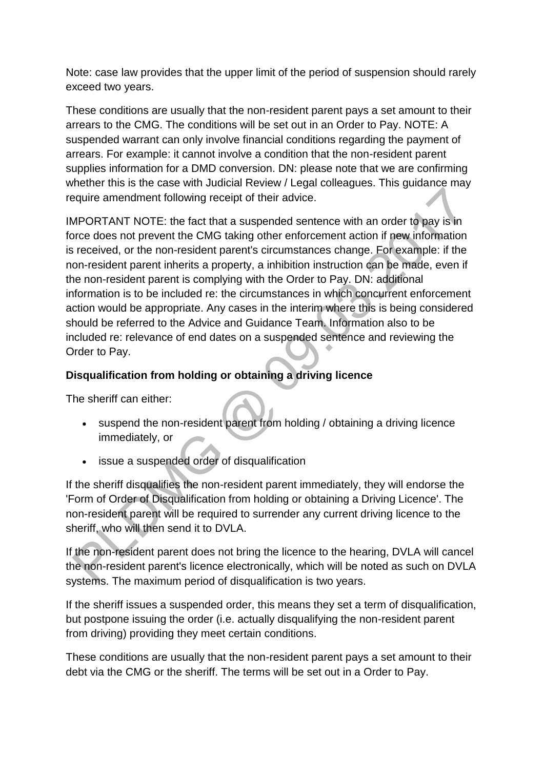Note: case law provides that the upper limit of the period of suspension should rarely exceed two years.

These conditions are usually that the non-resident parent pays a set amount to their arrears to the CMG. The conditions will be set out in an Order to Pay. NOTE: A suspended warrant can only involve financial conditions regarding the payment of arrears. For example: it cannot involve a condition that the non-resident parent supplies information for a DMD conversion. DN: please note that we are confirming whether this is the case with Judicial Review / Legal colleagues. This guidance may require amendment following receipt of their advice.

IMPORTANT NOTE: the fact that a suspended sentence with an order to pay is in force does not prevent the CMG taking other enforcement action if new information is received, or the non-resident parent's circumstances change. For example: if the non-resident parent inherits a property, a inhibition instruction can be made, even if the non-resident parent is complying with the Order to Pay. DN: additional information is to be included re: the circumstances in which concurrent enforcement action would be appropriate. Any cases in the interim where this is being considered should be referred to the Advice and Guidance Team. Information also to be included re: relevance of end dates on a suspended sentence and reviewing the Order to Pay.

# **Disqualification from holding or obtaining a driving licence**

The sheriff can either:

- suspend the non-resident parent from holding / obtaining a driving licence immediately, or
- issue a suspended order of disqualification

If the sheriff disqualifies the non-resident parent immediately, they will endorse the 'Form of Order of Disqualification from holding or obtaining a Driving Licence'. The non-resident parent will be required to surrender any current driving licence to the sheriff, who will then send it to DVLA.

If the non-resident parent does not bring the licence to the hearing, DVLA will cancel the non-resident parent's licence electronically, which will be noted as such on DVLA systems. The maximum period of disqualification is two years.

If the sheriff issues a suspended order, this means they set a term of disqualification, but postpone issuing the order (i.e. actually disqualifying the non-resident parent from driving) providing they meet certain conditions.

These conditions are usually that the non-resident parent pays a set amount to their debt via the CMG or the sheriff. The terms will be set out in a Order to Pay.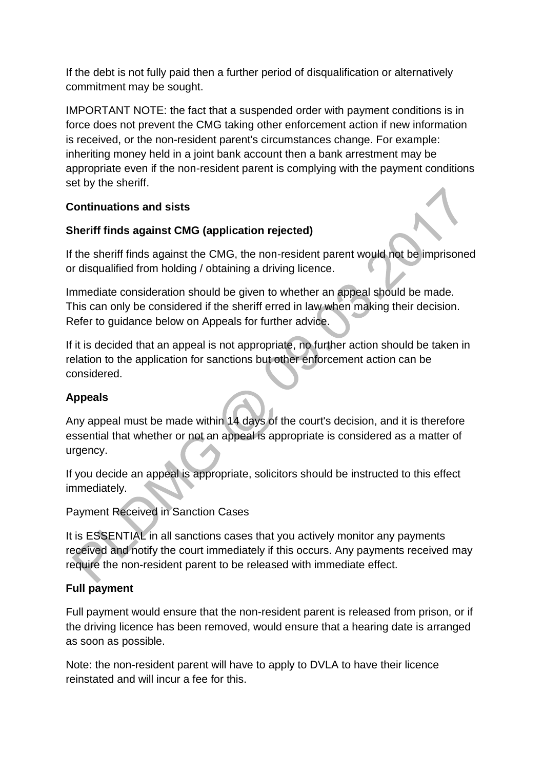If the debt is not fully paid then a further period of disqualification or alternatively commitment may be sought.

IMPORTANT NOTE: the fact that a suspended order with payment conditions is in force does not prevent the CMG taking other enforcement action if new information is received, or the non-resident parent's circumstances change. For example: inheriting money held in a joint bank account then a bank arrestment may be appropriate even if the non-resident parent is complying with the payment conditions set by the sheriff.

## **Continuations and sists**

## **Sheriff finds against CMG (application rejected)**

If the sheriff finds against the CMG, the non-resident parent would not be imprisoned or disqualified from holding / obtaining a driving licence.

Immediate consideration should be given to whether an appeal should be made. This can only be considered if the sheriff erred in law when making their decision. Refer to guidance below on Appeals for further advice.

If it is decided that an appeal is not appropriate, no further action should be taken in relation to the application for sanctions but other enforcement action can be considered.

# **Appeals**

Any appeal must be made within 14 days of the court's decision, and it is therefore essential that whether or not an appeal is appropriate is considered as a matter of urgency.

If you decide an appeal is appropriate, solicitors should be instructed to this effect immediately.

Payment Received in Sanction Cases

It is ESSENTIAL in all sanctions cases that you actively monitor any payments received and notify the court immediately if this occurs. Any payments received may require the non-resident parent to be released with immediate effect.

# **Full payment**

Full payment would ensure that the non-resident parent is released from prison, or if the driving licence has been removed, would ensure that a hearing date is arranged as soon as possible.

Note: the non-resident parent will have to apply to DVLA to have their licence reinstated and will incur a fee for this.